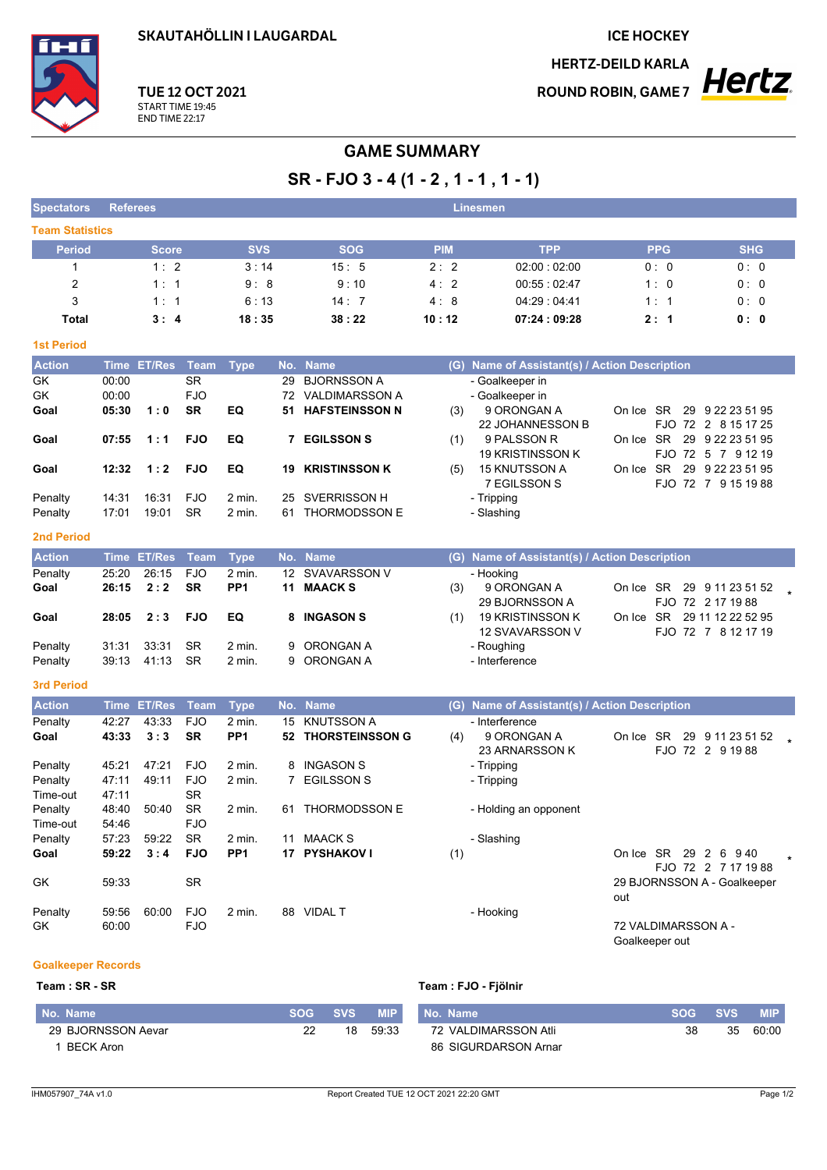**SKAUTAHÖLLIN I LAUGARDAL** 

**ICE HOCKEY** 

**HERTZ-DEILD KARLA** 



## **TUE 12 OCT 2021** START TIME 19:45<br>END TIME 22:17

# **GAME SUMMARY**

SR - FJO 3 - 4 (1 - 2, 1 - 1, 1 - 1)

| <b>Spectators</b>      | <b>Referees</b> |              |                         |                             |     |                                                |            | <b>Linesmen</b>                               |                             |                                        |
|------------------------|-----------------|--------------|-------------------------|-----------------------------|-----|------------------------------------------------|------------|-----------------------------------------------|-----------------------------|----------------------------------------|
| <b>Team Statistics</b> |                 |              |                         |                             |     |                                                |            |                                               |                             |                                        |
| <b>Period</b>          |                 | <b>Score</b> |                         | <b>SVS</b>                  |     | <b>SOG</b>                                     | <b>PIM</b> | <b>TPP</b>                                    | <b>PPG</b>                  | <b>SHG</b>                             |
| 1                      |                 | 1:2          |                         | 3:14                        |     | 15:5                                           | 2:2        | 02:00:02:00                                   | 0:0                         | 0:0                                    |
| $\overline{2}$         |                 | 1:1          |                         | 9:8                         |     | 9:10                                           | 4:2        | 00:55:02:47                                   | 1:0                         | 0:0                                    |
| 3                      |                 | 1:1          |                         | 6:13                        |     | 14:7                                           | 4:8        | 04:29 : 04:41                                 | 1:1                         | 0:0                                    |
| Total                  |                 | 3:4          |                         | 18:35                       |     | 38:22                                          | 10:12      | 07:24:09:28                                   | 2:1                         | 0:0                                    |
| <b>1st Period</b>      |                 |              |                         |                             |     |                                                |            |                                               |                             |                                        |
| <b>Action</b>          |                 | Time ET/Res  | Team                    | <b>Type</b>                 | No. | <b>Name</b>                                    |            | (G) Name of Assistant(s) / Action Description |                             |                                        |
| GK                     | 00:00           |              | <b>SR</b>               |                             | 29  | <b>BJORNSSON A</b>                             |            | - Goalkeeper in                               |                             |                                        |
| GK                     | 00:00           |              | <b>FJO</b>              |                             |     | 72 VALDIMARSSON A                              |            | - Goalkeeper in                               |                             |                                        |
| Goal                   | 05:30           | 1:0          | <b>SR</b>               | EQ                          | 51  | <b>HAFSTEINSSON N</b>                          | (3)        | 9 ORONGAN A                                   | On Ice SR                   | 29 9 22 23 51 95                       |
|                        |                 |              |                         |                             |     |                                                |            | 22 JOHANNESSON B                              |                             | FJO 72 2 8 15 17 25                    |
| Goal                   | 07:55           | 1:1          | <b>FJO</b>              | EQ                          |     | <b>7 EGILSSON S</b>                            | (1)        | 9 PALSSON R<br>19 KRISTINSSON K               | On Ice SR                   | 29 9 22 23 51 95<br>FJO 72 5 7 9 12 19 |
| Goal                   | 12:32           | 1:2          | <b>FJO</b>              | EQ                          | 19  | <b>KRISTINSSON K</b>                           | (5)        | 15 KNUTSSON A                                 | SR<br>On Ice                | 29 9 22 23 51 95                       |
|                        |                 |              |                         |                             |     |                                                |            | 7 EGILSSON S                                  |                             | FJO 72 7 9 15 19 88                    |
| Penalty                | 14:31           | 16:31        | <b>FJO</b>              | 2 min.                      | 25  | SVERRISSON H                                   |            | - Tripping                                    |                             |                                        |
| Penalty                | 17:01           | 19:01        | <b>SR</b>               | 2 min.                      | 61  | <b>THORMODSSON E</b>                           |            | - Slashing                                    |                             |                                        |
| <b>2nd Period</b>      |                 |              |                         |                             |     |                                                |            |                                               |                             |                                        |
| <b>Action</b>          |                 | Time ET/Res  | <b>Team</b>             | <b>Type</b>                 |     | No. Name                                       |            | (G) Name of Assistant(s) / Action Description |                             |                                        |
| Penalty                | 25:20           | 26:15        | <b>FJO</b>              | 2 min.                      | 12  | <b>SVAVARSSON V</b>                            |            | - Hooking                                     |                             |                                        |
| Goal                   | 26:15           | 2:2          | <b>SR</b>               | PP <sub>1</sub>             | 11  | <b>MAACKS</b>                                  | (3)        | 9 ORONGAN A                                   | On Ice SR                   | 29 9 11 23 51 52                       |
|                        |                 |              |                         |                             |     |                                                |            | 29 BJORNSSON A                                |                             | FJO 72 2 17 19 88                      |
| Goal                   | 28:05           | 2:3          | <b>FJO</b>              | EQ                          | 8   | <b>INGASON S</b>                               | (1)        | <b>19 KRISTINSSON K</b>                       | On Ice SR 29 11 12 22 52 95 |                                        |
| Penalty                | 31:31           | 33:31        | SR                      | 2 min.                      | 9   | ORONGAN A                                      |            | 12 SVAVARSSON V<br>- Roughing                 |                             | FJO 72 7 8 12 17 19                    |
| Penalty                | 39:13           | 41:13        | <b>SR</b>               | 2 min.                      | 9   | ORONGAN A                                      |            | - Interference                                |                             |                                        |
|                        |                 |              |                         |                             |     |                                                |            |                                               |                             |                                        |
| <b>3rd Period</b>      |                 |              |                         |                             |     |                                                |            |                                               |                             |                                        |
| <b>Action</b>          |                 | Time ET/Res  | <b>Team</b>             | <b>Type</b>                 | No. | <b>Name</b>                                    | (G)        | Name of Assistant(s) / Action Description     |                             |                                        |
| Penalty<br>Goal        | 42:27<br>43:33  | 43:33<br>3:3 | <b>FJO</b><br><b>SR</b> | 2 min.<br>PP <sub>1</sub>   | 15  | <b>KNUTSSON A</b><br><b>52 THORSTEINSSON G</b> |            | - Interference<br>9 ORONGAN A                 | On Ice SR                   | 29 9 11 23 51 52                       |
|                        |                 |              |                         |                             |     |                                                | (4)        | 23 ARNARSSON K                                |                             | FJO 72 2 9 19 88                       |
| Penalty                | 45.21           | 47:21        | <b>FJO</b>              | 2 min.                      | 8   | <b>INGASON S</b>                               |            | - Tripping                                    |                             |                                        |
| Penalty                | 47:11           | 49.11        | <b>FJO</b>              | 2 min.                      | 7   | <b>EGILSSON S</b>                              |            | - Tripping                                    |                             |                                        |
| Time-out               | 47:11           |              | <b>SR</b>               |                             |     |                                                |            |                                               |                             |                                        |
| Penalty                | 48:40           | 50:40        | <b>SR</b>               | 2 min.                      |     | 61 THORMODSSON E                               |            | - Holding an opponent                         |                             |                                        |
| Time-out               | 54:46           |              | <b>FJO</b>              |                             |     |                                                |            |                                               |                             |                                        |
| Penalty                | 57:23           | 59:22        | <b>SR</b>               | $2$ min.<br>PP <sub>1</sub> |     | 11 MAACK S<br>17 PYSHAKOV I                    |            | - Slashing                                    |                             |                                        |
| Goal                   | 59:22           | 3:4          | <b>FJO</b>              |                             |     |                                                | (1)        |                                               | On Ice SR 29 2 6 940        | $\star$<br>FJO 72 2 7 17 19 88         |
| GK                     | 59:33           |              | <b>SR</b>               |                             |     |                                                |            |                                               | 29 BJORNSSON A - Goalkeeper |                                        |
|                        |                 |              |                         |                             |     |                                                |            |                                               | out                         |                                        |
| Penalty                | 59:56           | 60:00        | <b>FJO</b>              | 2 min.                      |     | 88 VIDAL T                                     |            | - Hooking                                     |                             |                                        |
| GK                     | 60:00           |              | <b>FJO</b>              |                             |     |                                                |            |                                               | 72 VALDIMARSSON A -         |                                        |
|                        |                 |              |                         |                             |     |                                                |            |                                               | Goalkeeper out              |                                        |

### **Goalkeeper Records**

### Team: SR - SR

### Team : FJO - Fjölnir

| No. Name           | <b>SOG</b> | <b>SVS</b> | <b>MIP</b> | No. Name             | <b>SOG</b> | <b>SVS</b> | <b>MIP</b> |
|--------------------|------------|------------|------------|----------------------|------------|------------|------------|
| 29 BJORNSSON Aevar | າາ         | 18         | 59.33      | 72 VALDIMARSSON Atli | 38         | 35         | 60:00      |
| <b>BECK Aron</b>   |            |            |            | 86 SIGURDARSON Arnar |            |            |            |